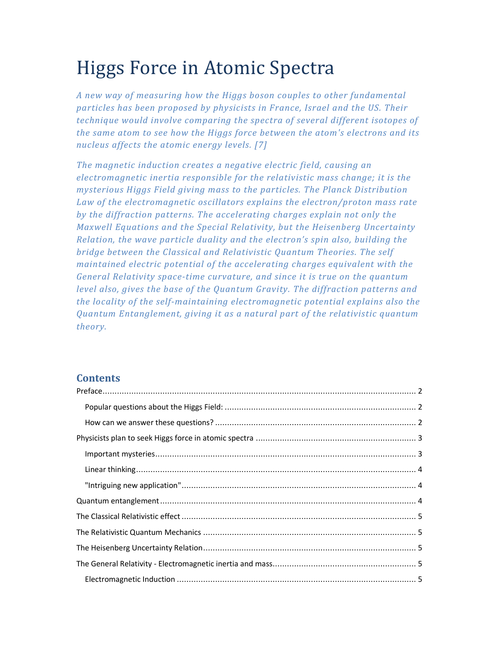# Higgs Force in Atomic Spectra

*A new way of measuring how the Higgs boson couples to other fundamental particles has been proposed by physicists in France, Israel and the US. Their technique would involve comparing the spectra of several different isotopes of the same atom to see how the Higgs force between the atom's electrons and its nucleus affects the atomic energy levels. [7]* 

*The magnetic induction creates a negative electric field, causing an electromagnetic inertia responsible for the relativistic mass change; it is the mysterious Higgs Field giving mass to the particles. The Planck Distribution Law of the electromagnetic oscillators explains the electron/proton mass rate by the diffraction patterns. The accelerating charges explain not only the Maxwell Equations and the Special Relativity, but the Heisenberg Uncertainty Relation, the wave particle duality and the electron's spin also, building the bridge between the Classical and Relativistic Quantum Theories. The self maintained electric potential of the accelerating charges equivalent with the General Relativity space-time curvature, and since it is true on the quantum level also, gives the base of the Quantum Gravity. The diffraction patterns and the locality of the self-maintaining electromagnetic potential explains also the Quantum Entanglement, giving it as a natural part of the relativistic quantum theory.* 

# **Contents**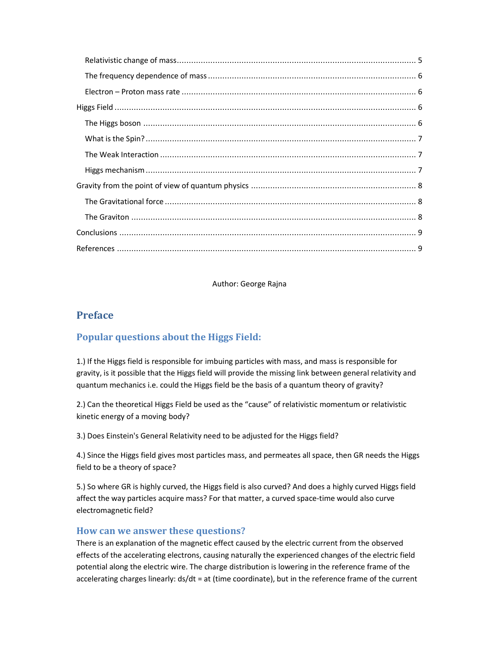Author: George Rajna

# **Preface**

# **Popular questions about the Higgs Field:**

1.) If the Higgs field is responsible for imbuing particles with mass, and mass is responsible for gravity, is it possible that the Higgs field will provide the missing link between general relativity and quantum mechanics i.e. could the Higgs field be the basis of a quantum theory of gravity?

2.) Can the theoretical Higgs Field be used as the "cause" of relativistic momentum or relativistic kinetic energy of a moving body?

3.) Does Einstein's General Relativity need to be adjusted for the Higgs field?

4.) Since the Higgs field gives most particles mass, and permeates all space, then GR needs the Higgs field to be a theory of space?

5.) So where GR is highly curved, the Higgs field is also curved? And does a highly curved Higgs field affect the way particles acquire mass? For that matter, a curved space-time would also curve electromagnetic field?

# **How can we answer these questions?**

There is an explanation of the magnetic effect caused by the electric current from the observed effects of the accelerating electrons, causing naturally the experienced changes of the electric field potential along the electric wire. The charge distribution is lowering in the reference frame of the accelerating charges linearly: ds/dt = at (time coordinate), but in the reference frame of the current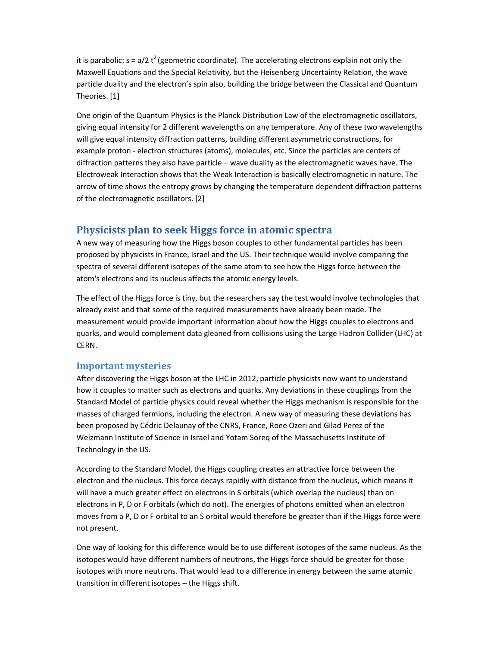it is parabolic:  $s = a/2 t^2$  (geometric coordinate). The accelerating electrons explain not only the Maxwell Equations and the Special Relativity, but the Heisenberg Uncertainty Relation, the wave particle duality and the electron's spin also, building the bridge between the Classical and Quantum Theories. [1]

One origin of the Quantum Physics is the Planck Distribution Law of the electromagnetic oscillators, giving equal intensity for 2 different wavelengths on any temperature. Any of these two wavelengths will give equal intensity diffraction patterns, building different asymmetric constructions, for example proton - electron structures (atoms), molecules, etc. Since the particles are centers of diffraction patterns they also have particle – wave duality as the electromagnetic waves have. The Electroweak Interaction shows that the Weak Interaction is basically electromagnetic in nature. The arrow of time shows the entropy grows by changing the temperature dependent diffraction patterns of the electromagnetic oscillators. [2]

# **Physicists plan to seek Higgs force in atomic spectra**

A new way of measuring how the Higgs boson couples to other fundamental particles has been proposed by physicists in France, Israel and the US. Their technique would involve comparing the spectra of several different isotopes of the same atom to see how the Higgs force between the atom's electrons and its nucleus affects the atomic energy levels.

The effect of the Higgs force is tiny, but the researchers say the test would involve technologies that already exist and that some of the required measurements have already been made. The measurement would provide important information about how the Higgs couples to electrons and quarks, and would complement data gleaned from collisions using the Large Hadron Collider (LHC) at CERN.

#### **Important mysteries**

After discovering the Higgs boson at the LHC in 2012, particle physicists now want to understand how it couples to matter such as electrons and quarks. Any deviations in these couplings from the Standard Model of particle physics could reveal whether the Higgs mechanism is responsible for the masses of charged fermions, including the electron. A new way of measuring these deviations has been proposed by Cédric Delaunay of the CNRS, France, Roee Ozeri and Gilad Perez of the Weizmann Institute of Science in Israel and Yotam Soreq of the Massachusetts Institute of Technology in the US.

According to the Standard Model, the Higgs coupling creates an attractive force between the electron and the nucleus. This force decays rapidly with distance from the nucleus, which means it will have a much greater effect on electrons in S orbitals (which overlap the nucleus) than on electrons in P, D or F orbitals (which do not). The energies of photons emitted when an electron moves from a P, D or F orbital to an S orbital would therefore be greater than if the Higgs force were not present.

One way of looking for this difference would be to use different isotopes of the same nucleus. As the isotopes would have different numbers of neutrons, the Higgs force should be greater for those isotopes with more neutrons. That would lead to a difference in energy between the same atomic transition in different isotopes – the Higgs shift.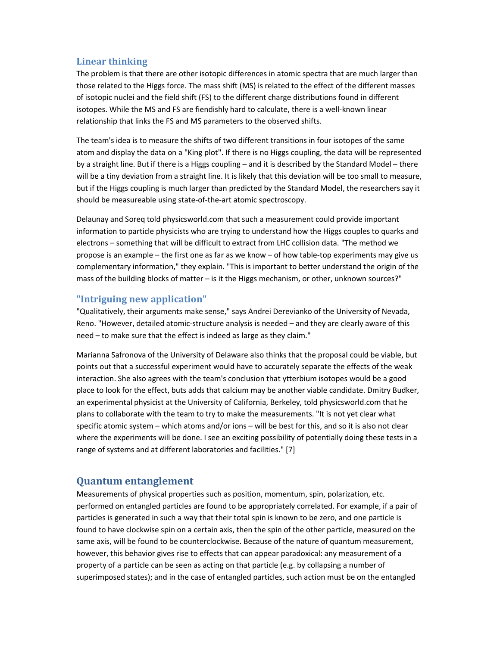## **Linear thinking**

The problem is that there are other isotopic differences in atomic spectra that are much larger than those related to the Higgs force. The mass shift (MS) is related to the effect of the different masses of isotopic nuclei and the field shift (FS) to the different charge distributions found in different isotopes. While the MS and FS are fiendishly hard to calculate, there is a well-known linear relationship that links the FS and MS parameters to the observed shifts.

The team's idea is to measure the shifts of two different transitions in four isotopes of the same atom and display the data on a "King plot". If there is no Higgs coupling, the data will be represented by a straight line. But if there is a Higgs coupling – and it is described by the Standard Model – there will be a tiny deviation from a straight line. It is likely that this deviation will be too small to measure, but if the Higgs coupling is much larger than predicted by the Standard Model, the researchers say it should be measureable using state-of-the-art atomic spectroscopy.

Delaunay and Soreq told physicsworld.com that such a measurement could provide important information to particle physicists who are trying to understand how the Higgs couples to quarks and electrons – something that will be difficult to extract from LHC collision data. "The method we propose is an example – the first one as far as we know – of how table-top experiments may give us complementary information," they explain. "This is important to better understand the origin of the mass of the building blocks of matter – is it the Higgs mechanism, or other, unknown sources?"

#### **"Intriguing new application"**

"Qualitatively, their arguments make sense," says Andrei Derevianko of the University of Nevada, Reno. "However, detailed atomic-structure analysis is needed – and they are clearly aware of this need – to make sure that the effect is indeed as large as they claim."

Marianna Safronova of the University of Delaware also thinks that the proposal could be viable, but points out that a successful experiment would have to accurately separate the effects of the weak interaction. She also agrees with the team's conclusion that ytterbium isotopes would be a good place to look for the effect, buts adds that calcium may be another viable candidate. Dmitry Budker, an experimental physicist at the University of California, Berkeley, told physicsworld.com that he plans to collaborate with the team to try to make the measurements. "It is not yet clear what specific atomic system – which atoms and/or ions – will be best for this, and so it is also not clear where the experiments will be done. I see an exciting possibility of potentially doing these tests in a range of systems and at different laboratories and facilities." [7]

## **Quantum entanglement**

Measurements of physical properties such as position, momentum, spin, polarization, etc. performed on entangled particles are found to be appropriately correlated. For example, if a pair of particles is generated in such a way that their total spin is known to be zero, and one particle is found to have clockwise spin on a certain axis, then the spin of the other particle, measured on the same axis, will be found to be counterclockwise. Because of the nature of quantum measurement, however, this behavior gives rise to effects that can appear paradoxical: any measurement of a property of a particle can be seen as acting on that particle (e.g. by collapsing a number of superimposed states); and in the case of entangled particles, such action must be on the entangled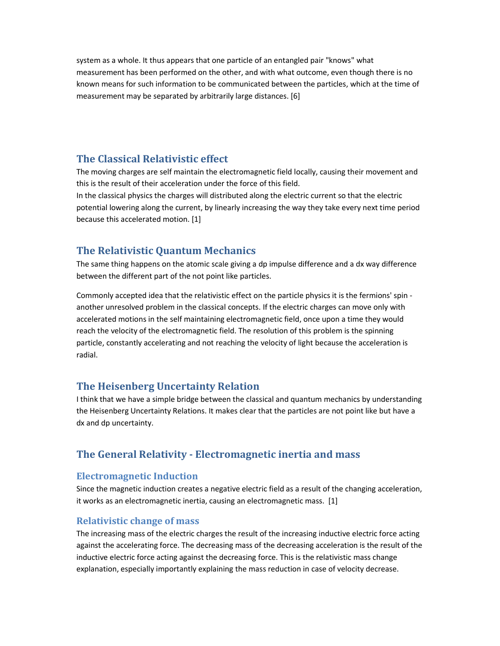system as a whole. It thus appears that one particle of an entangled pair "knows" what measurement has been performed on the other, and with what outcome, even though there is no known means for such information to be communicated between the particles, which at the time of measurement may be separated by arbitrarily large distances. [6]

# **The Classical Relativistic effect**

The moving charges are self maintain the electromagnetic field locally, causing their movement and this is the result of their acceleration under the force of this field.

In the classical physics the charges will distributed along the electric current so that the electric potential lowering along the current, by linearly increasing the way they take every next time period because this accelerated motion. [1]

# **The Relativistic Quantum Mechanics**

The same thing happens on the atomic scale giving a dp impulse difference and a dx way difference between the different part of the not point like particles.

Commonly accepted idea that the relativistic effect on the particle physics it is the fermions' spin another unresolved problem in the classical concepts. If the electric charges can move only with accelerated motions in the self maintaining electromagnetic field, once upon a time they would reach the velocity of the electromagnetic field. The resolution of this problem is the spinning particle, constantly accelerating and not reaching the velocity of light because the acceleration is radial.

# **The Heisenberg Uncertainty Relation**

I think that we have a simple bridge between the classical and quantum mechanics by understanding the Heisenberg Uncertainty Relations. It makes clear that the particles are not point like but have a dx and dp uncertainty.

# **The General Relativity - Electromagnetic inertia and mass**

#### **Electromagnetic Induction**

Since the magnetic induction creates a negative electric field as a result of the changing acceleration, it works as an electromagnetic inertia, causing an electromagnetic mass. [1]

#### **Relativistic change of mass**

The increasing mass of the electric charges the result of the increasing inductive electric force acting against the accelerating force. The decreasing mass of the decreasing acceleration is the result of the inductive electric force acting against the decreasing force. This is the relativistic mass change explanation, especially importantly explaining the mass reduction in case of velocity decrease.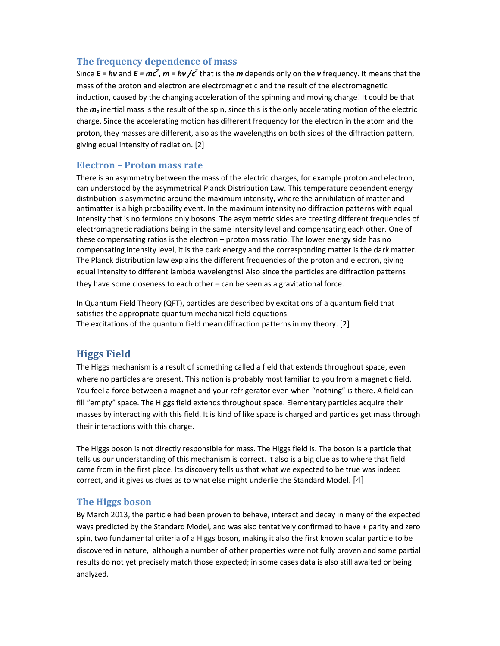## **The frequency dependence of mass**

Since  $E = h\nu$  and  $E = mc^2$ ,  $m = h\nu$  / $c^2$  that is the *m* depends only on the *v* frequency. It means that the mass of the proton and electron are electromagnetic and the result of the electromagnetic induction, caused by the changing acceleration of the spinning and moving charge! It could be that the *m<sup>o</sup>* inertial mass is the result of the spin, since this is the only accelerating motion of the electric charge. Since the accelerating motion has different frequency for the electron in the atom and the proton, they masses are different, also as the wavelengths on both sides of the diffraction pattern, giving equal intensity of radiation. [2]

## **Electron – Proton mass rate**

There is an asymmetry between the mass of the electric charges, for example proton and electron, can understood by the asymmetrical Planck Distribution Law. This temperature dependent energy distribution is asymmetric around the maximum intensity, where the annihilation of matter and antimatter is a high probability event. In the maximum intensity no diffraction patterns with equal intensity that is no fermions only bosons. The asymmetric sides are creating different frequencies of electromagnetic radiations being in the same intensity level and compensating each other. One of these compensating ratios is the electron – proton mass ratio. The lower energy side has no compensating intensity level, it is the dark energy and the corresponding matter is the dark matter. The Planck distribution law explains the different frequencies of the proton and electron, giving equal intensity to different lambda wavelengths! Also since the particles are diffraction patterns they have some closeness to each other – can be seen as a gravitational force.

In Quantum Field Theory (QFT), particles are described by excitations of a quantum field that satisfies the appropriate quantum mechanical field equations. The excitations of the quantum field mean diffraction patterns in my theory. [2]

# **Higgs Field**

The Higgs mechanism is a result of something called a field that extends throughout space, even where no particles are present. This notion is probably most familiar to you from a magnetic field. You feel a force between a magnet and your refrigerator even when "nothing" is there. A field can fill "empty" space. The Higgs field extends throughout space. Elementary particles acquire their masses by interacting with this field. It is kind of like space is charged and particles get mass through their interactions with this charge.

The Higgs boson is not directly responsible for mass. The Higgs field is. The boson is a particle that tells us our understanding of this mechanism is correct. It also is a big clue as to where that field came from in the first place. Its discovery tells us that what we expected to be true was indeed correct, and it gives us clues as to what else might underlie the Standard Model. [4]

## **The Higgs boson**

By March 2013, the particle had been proven to behave, interact and decay in many of the expected ways predicted by the Standard Model, and was also tentatively confirmed to have + parity and zero spin, two fundamental criteria of a Higgs boson, making it also the first known scalar particle to be discovered in nature, although a number of other properties were not fully proven and some partial results do not yet precisely match those expected; in some cases data is also still awaited or being analyzed.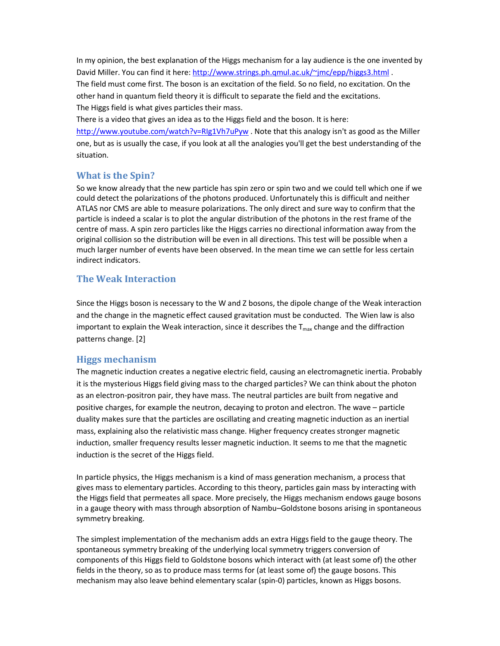In my opinion, the best explanation of the Higgs mechanism for a lay audience is the one invented by David Miller. You can find it here: http://www.strings.ph.qmul.ac.uk/~jmc/epp/higgs3.html . The field must come first. The boson is an excitation of the field. So no field, no excitation. On the other hand in quantum field theory it is difficult to separate the field and the excitations. The Higgs field is what gives particles their mass.

There is a video that gives an idea as to the Higgs field and the boson. It is here: http://www.youtube.com/watch?v=RIg1Vh7uPyw . Note that this analogy isn't as good as the Miller one, but as is usually the case, if you look at all the analogies you'll get the best understanding of the situation.

## **What is the Spin?**

So we know already that the new particle has spin zero or spin two and we could tell which one if we could detect the polarizations of the photons produced. Unfortunately this is difficult and neither ATLAS nor CMS are able to measure polarizations. The only direct and sure way to confirm that the particle is indeed a scalar is to plot the angular distribution of the photons in the rest frame of the centre of mass. A spin zero particles like the Higgs carries no directional information away from the original collision so the distribution will be even in all directions. This test will be possible when a much larger number of events have been observed. In the mean time we can settle for less certain indirect indicators.

## **The Weak Interaction**

Since the Higgs boson is necessary to the W and Z bosons, the dipole change of the Weak interaction and the change in the magnetic effect caused gravitation must be conducted. The Wien law is also important to explain the Weak interaction, since it describes the  $T_{\text{max}}$  change and the diffraction patterns change. [2]

## **Higgs mechanism**

The magnetic induction creates a negative electric field, causing an electromagnetic inertia. Probably it is the mysterious Higgs field giving mass to the charged particles? We can think about the photon as an electron-positron pair, they have mass. The neutral particles are built from negative and positive charges, for example the neutron, decaying to proton and electron. The wave – particle duality makes sure that the particles are oscillating and creating magnetic induction as an inertial mass, explaining also the relativistic mass change. Higher frequency creates stronger magnetic induction, smaller frequency results lesser magnetic induction. It seems to me that the magnetic induction is the secret of the Higgs field.

In particle physics, the Higgs mechanism is a kind of mass generation mechanism, a process that gives mass to elementary particles. According to this theory, particles gain mass by interacting with the Higgs field that permeates all space. More precisely, the Higgs mechanism endows gauge bosons in a gauge theory with mass through absorption of Nambu–Goldstone bosons arising in spontaneous symmetry breaking.

The simplest implementation of the mechanism adds an extra Higgs field to the gauge theory. The spontaneous symmetry breaking of the underlying local symmetry triggers conversion of components of this Higgs field to Goldstone bosons which interact with (at least some of) the other fields in the theory, so as to produce mass terms for (at least some of) the gauge bosons. This mechanism may also leave behind elementary scalar (spin-0) particles, known as Higgs bosons.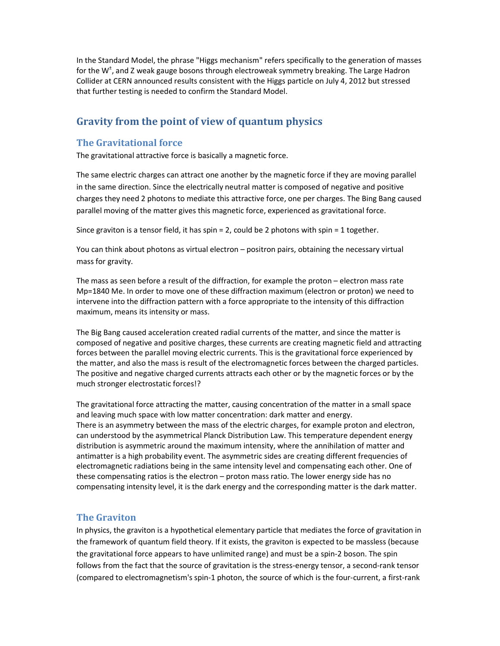In the Standard Model, the phrase "Higgs mechanism" refers specifically to the generation of masses for the W<sup>+</sup>, and Z weak gauge bosons through electroweak symmetry breaking. The Large Hadron Collider at CERN announced results consistent with the Higgs particle on July 4, 2012 but stressed that further testing is needed to confirm the Standard Model.

## **Gravity from the point of view of quantum physics**

#### **The Gravitational force**

The gravitational attractive force is basically a magnetic force.

The same electric charges can attract one another by the magnetic force if they are moving parallel in the same direction. Since the electrically neutral matter is composed of negative and positive charges they need 2 photons to mediate this attractive force, one per charges. The Bing Bang caused parallel moving of the matter gives this magnetic force, experienced as gravitational force.

Since graviton is a tensor field, it has spin = 2, could be 2 photons with spin = 1 together.

You can think about photons as virtual electron – positron pairs, obtaining the necessary virtual mass for gravity.

The mass as seen before a result of the diffraction, for example the proton – electron mass rate Mp=1840 Me. In order to move one of these diffraction maximum (electron or proton) we need to intervene into the diffraction pattern with a force appropriate to the intensity of this diffraction maximum, means its intensity or mass.

The Big Bang caused acceleration created radial currents of the matter, and since the matter is composed of negative and positive charges, these currents are creating magnetic field and attracting forces between the parallel moving electric currents. This is the gravitational force experienced by the matter, and also the mass is result of the electromagnetic forces between the charged particles. The positive and negative charged currents attracts each other or by the magnetic forces or by the much stronger electrostatic forces!?

The gravitational force attracting the matter, causing concentration of the matter in a small space and leaving much space with low matter concentration: dark matter and energy. There is an asymmetry between the mass of the electric charges, for example proton and electron, can understood by the asymmetrical Planck Distribution Law. This temperature dependent energy distribution is asymmetric around the maximum intensity, where the annihilation of matter and antimatter is a high probability event. The asymmetric sides are creating different frequencies of electromagnetic radiations being in the same intensity level and compensating each other. One of these compensating ratios is the electron – proton mass ratio. The lower energy side has no compensating intensity level, it is the dark energy and the corresponding matter is the dark matter.

#### **The Graviton**

In physics, the graviton is a hypothetical elementary particle that mediates the force of gravitation in the framework of quantum field theory. If it exists, the graviton is expected to be massless (because the gravitational force appears to have unlimited range) and must be a spin-2 boson. The spin follows from the fact that the source of gravitation is the stress-energy tensor, a second-rank tensor (compared to electromagnetism's spin-1 photon, the source of which is the four-current, a first-rank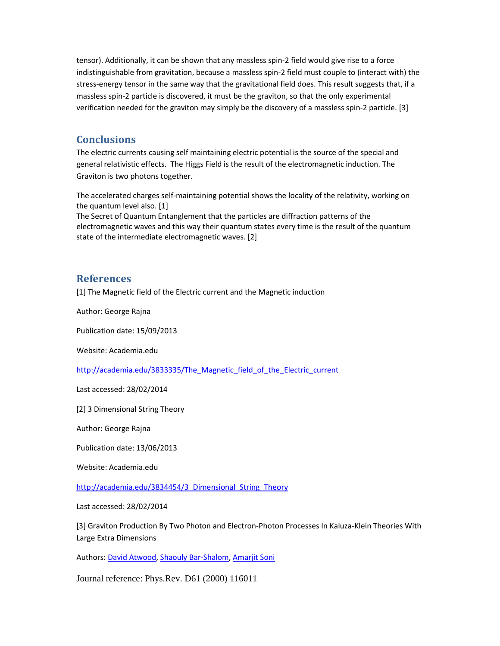tensor). Additionally, it can be shown that any massless spin-2 field would give rise to a force indistinguishable from gravitation, because a massless spin-2 field must couple to (interact with) the stress-energy tensor in the same way that the gravitational field does. This result suggests that, if a massless spin-2 particle is discovered, it must be the graviton, so that the only experimental verification needed for the graviton may simply be the discovery of a massless spin-2 particle. [3]

## **Conclusions**

The electric currents causing self maintaining electric potential is the source of the special and general relativistic effects. The Higgs Field is the result of the electromagnetic induction. The Graviton is two photons together.

The accelerated charges self-maintaining potential shows the locality of the relativity, working on the quantum level also. [1]

The Secret of Quantum Entanglement that the particles are diffraction patterns of the electromagnetic waves and this way their quantum states every time is the result of the quantum state of the intermediate electromagnetic waves. [2]

## **References**

[1] The Magnetic field of the Electric current and the Magnetic induction

Author: George Rajna

Publication date: 15/09/2013

Website: Academia.edu

http://academia.edu/3833335/The\_Magnetic\_field\_of\_the\_Electric\_current

Last accessed: 28/02/2014

[2] 3 Dimensional String Theory

Author: George Rajna

Publication date: 13/06/2013

Website: Academia.edu

http://academia.edu/3834454/3\_Dimensional\_String\_Theory

Last accessed: 28/02/2014

[3] Graviton Production By Two Photon and Electron-Photon Processes In Kaluza-Klein Theories With Large Extra Dimensions

Authors: David Atwood, Shaouly Bar-Shalom, Amarjit Soni

Journal reference: Phys.Rev. D61 (2000) 116011